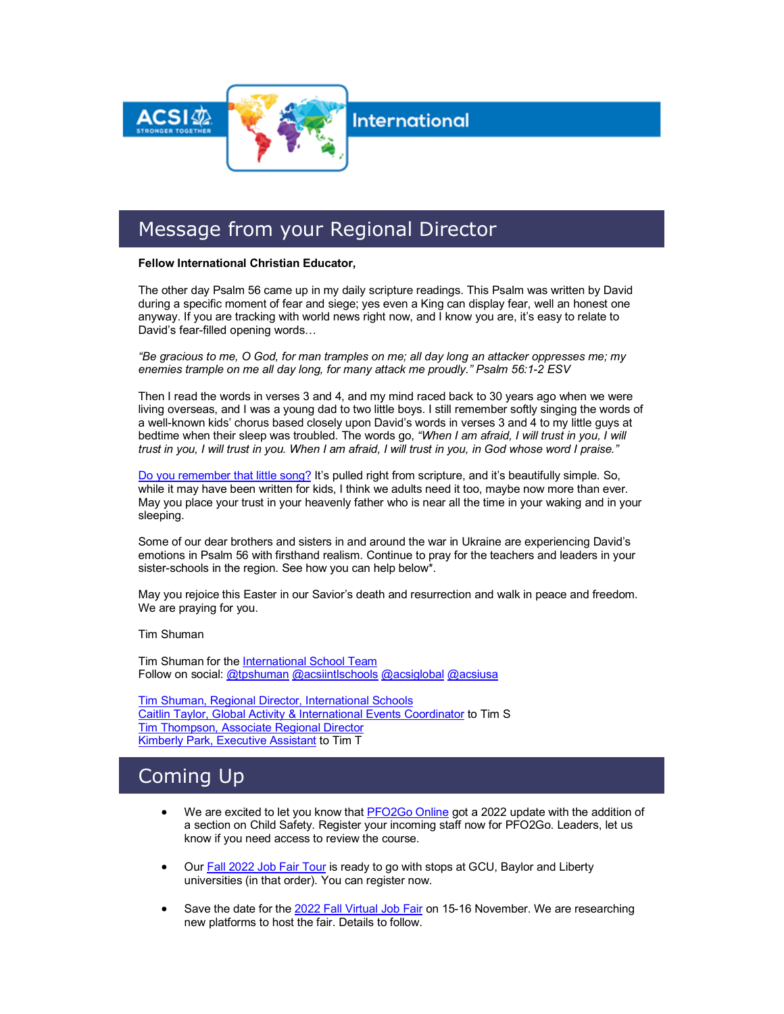

#### Message from your Regional Director

#### **Fellow International Christian Educator,**

The other day Psalm 56 came up in my daily scripture readings. This Psalm was written by David during a specific moment of fear and siege; yes even a King can display fear, well an honest one anyway. If you are tracking with world news right now, and I know you are, it's easy to relate to David's fear-filled opening words…

*"Be gracious to me, O God, for man tramples on me; all day long an attacker oppresses me; my enemies trample on me all day long, for many attack me proudly." Psalm 56:1-2 ESV*

Then I read the words in verses 3 and 4, and my mind raced back to 30 years ago when we were living overseas, and I was a young dad to two little boys. I still remember softly singing the words of a well-known kids' chorus based closely upon David's words in verses 3 and 4 to my little guys at bedtime when their sleep was troubled. The words go, *"When I am afraid, I will trust in you, I will trust in you, I will trust in you. When I am afraid, I will trust in you, in God whose word I praise."* 

[Do you remember that little song?](https://www.youtube.com/watch?v=nbAkKDBQoG8) It's pulled right from scripture, and it's beautifully simple. So, while it may have been written for kids, I think we adults need it too, maybe now more than ever. May you place your trust in your heavenly father who is near all the time in your waking and in your sleeping.

Some of our dear brothers and sisters in and around the war in Ukraine are experiencing David's emotions in Psalm 56 with firsthand realism. Continue to pray for the teachers and leaders in your sister-schools in the region. See how you can help below\*.

May you rejoice this Easter in our Savior's death and resurrection and walk in peace and freedom. We are praying for you.

Tim Shuman

Tim Shuman for th[e International School Team](https://community.acsi.org/global/international/intlteam)  Follow on social: [@tpshuman](https://twitter.com/tpshuman) [@acsiintlschools](https://twitter.com/ACSIINTLSCHOOLS) [@acsiglobal](https://twitter.com/AcsiGlobal) [@acsiusa](https://twitter.com/ACSIUSA) 

[Tim Shuman, Regional Director, International Schools](mailto:tim_shuman@acsi.org)  [Caitlin Taylor, Global Activity & International Events Coordinator](mailto:caitlin_taylor@acsi.org) to Tim S [Tim Thompson, Associate Regional Director](mailto:tim_thompson@acsi.org)  [Kimberly Park, Executive Assistant](mailto:kimberly_park@acsi.org) to Tim T

# Coming Up

- We are excited to let you know tha[t PFO2Go Online](http://link.acsi.org/c/6/?T=ODcyOTMzMTM%3AMDItYjIxMTg3LWEwMGNhZWI1MGYwNDQyOGVhODQ0YTQzZGYyZGQ0NGEx%3AY3BsQGJmYWNhZGVteS5kZQ%3AY29udGFjdC01NDhiZTA1MDQwNjNlODExODBkMDAyYmZjMGE4MDE3Mi1mZDI5MzA1NzQ1MzU0MGU5ODdhOThkZmZjZDdjZTVlOQ%3AZmFsc2U%3AMTA%3A%3AaHR0cHM6Ly93d3cuYWNzaS5vcmcvZ2xvYmFsL2ludGVybmF0aW9uYWwtc2Nob29scy9ldmVudHMvcGZvMmdvP19jbGRlZT1ZM0JzUUdKbVlXTmhaR1Z0ZVM1a1pRJTNkJTNkJnJlY2lwaWVudGlkPWNvbnRhY3QtNTQ4YmUwNTA0MDYzZTgxMTgwZDAwMmJmYzBhODAxNzItZmQyOTMwNTc0NTM1NDBlOTg3YTk4ZGZmY2Q3Y2U1ZTkmZXNpZD1iNDM1NzEzMC0wMmQ2LWViMTEtODExMy0wMDBkM2EwM2ZhYWY&K=S2iPMvtcdcDO6-_8Dtg-sg) got a 2022 update with the addition of a section on Child Safety. Register your incoming staff now for PFO2Go. Leaders, let us know if you need access to review the course.
- Our **Fall 2022 Job Fair Tour** is ready to go with stops at GCU, Baylor and Liberty universities (in that order). You can register now.
- Save the date for the [2022 Fall Virtual Job Fair](https://www.acsi.org/global/international-schools/events/job-fair/2022-fall-virtual-job-fair) on 15-16 November. We are researching new platforms to host the fair. Details to follow.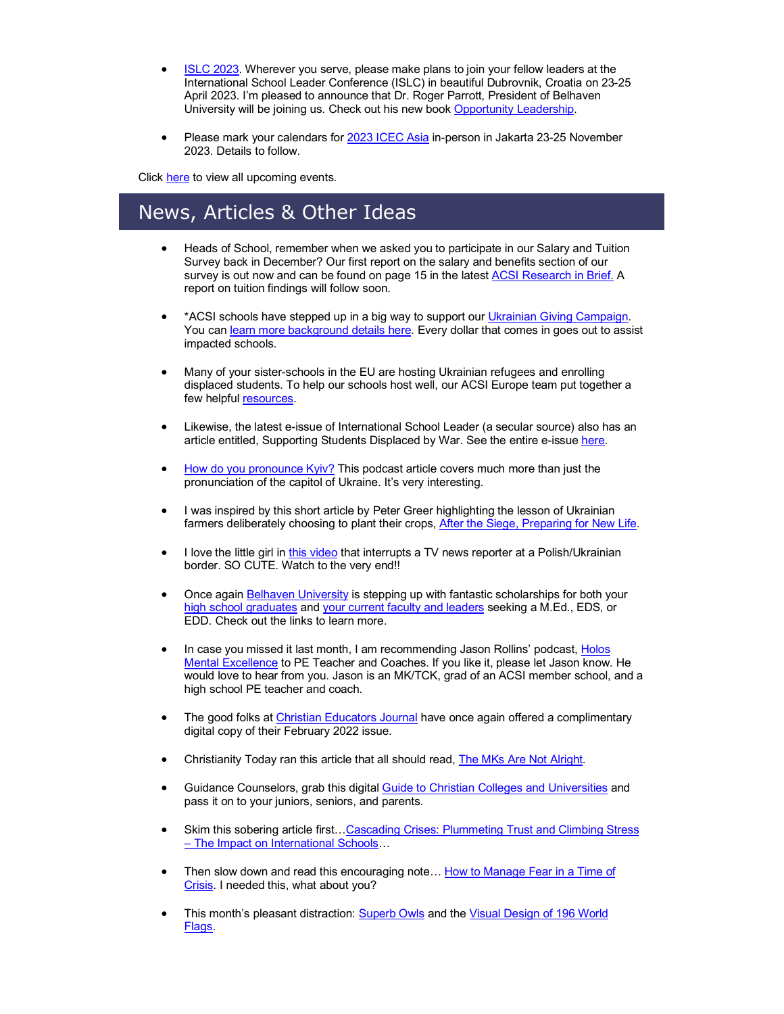- [ISLC 2023.](https://www.acsi.org/global/international-schools/events/islc-2023/) Wherever you serve, please make plans to join your fellow leaders at the International School Leader Conference (ISLC) in beautiful Dubrovnik, Croatia on 23-25 April 2023. I'm pleased to announce that Dr. Roger Parrott, President of Belhaven University will be joining us. Check out his new boo[k Opportunity Leadership.](https://www.amazon.com/Opportunity-Leadership-Planning-Getting-Results/dp/0802423213)
- Please mark your calendars for [2023 ICEC Asia](https://www.acsi.org/global/international-schools/events/icec-asia-2023) in-person in Jakarta 23-25 November 2023. Details to follow.

Click [here](https://www.acsi.org/global/international-schools/events) to view all upcoming events.

### News, Articles & Other Ideas

- Heads of School, remember when we asked you to participate in our Salary and Tuition Survey back in December? Our first report on the salary and benefits section of our survey is out now and can be found on page 15 in the latest [ACSI Research in Brief.](https://www.acsi.org/docs/default-source/website-publishing/research/research-in-brief-spring-2022-(v-3).pdf) A report on tuition findings will follow soon.
- \* ACSI schools have stepped up in a big way to support our [Ukrainian Giving Campaign.](https://acsi.givecloud.co/ukraine?) You ca[n learn more background details here.](https://ministrywatch.com/acsi-seeks-gifts-to-help-ukrainian-students-families-and-teachers/) Every dollar that comes in goes out to assist impacted schools.
- Many of your sister-schools in the EU are hosting Ukrainian refugees and enrolling displaced students. To help our schools host well, our ACSI Europe team put together a few helpfu[l resources.](https://mailchi.mp/c35587ac2dba/a-list-of-resources-that-might-be-helpful-if-your-school-is-welcoming-displaced-students-from-ukraine?e=489aa50e19)
- Likewise, the latest e-issue of International School Leader (a secular source) also has an article entitled, Supporting Students Displaced by War. See the entire e-issue [here.](https://www.flipsnack.com/islmagazine/international-school-leader-magazine-april-2022-z9y7ye0jiq.html)
- [How do you pronounce Kyiv?](https://wng.org/podcasts/ask-the-editor-kyivs-evolving-pronunciation-1648784260) This podcast article covers much more than just the pronunciation of the capitol of Ukraine. It's very interesting.
- I was inspired by this short article by Peter Greer highlighting the lesson of Ukrainian farmers deliberately choosing to plant their crops. [After the Siege, Preparing for New Life.](https://www.peterkgreer.com/2022/03/29/after-the-siege-preparing-for-new-life/)
- I love the little girl i[n this video](https://twitter.com/ellisonbarber/status/1500457299059478528?s=11) that interrupts a TV news reporter at a Polish/Ukrainian border. SO CUTE. Watch to the very end!!
- Once agai[n Belhaven University](https://www.belhaven.edu/) is stepping up with fantastic scholarships for both your [high school graduates](https://www.acsi.org/docs/default-source/global-international/snapshot-archive/acsi_rackcard_international-1.pdf?sfvrsn=c94f3462_2) and [your current faculty and leaders](https://www.acsi.org/docs/default-source/global-international/snapshot-archive/acsi_rackcard_for_administrators-1.pdf?sfvrsn=cc88fcdb_2) seeking a M.Ed., EDS, or EDD. Check out the links to learn more.
- In case you missed it last month, I am recommending Jason Rollins' podcast[, Holos](https://podcasts.apple.com/us/podcast/holos-mental-excellence/id1602941627)  [Mental Excellence](https://podcasts.apple.com/us/podcast/holos-mental-excellence/id1602941627) to PE Teacher and Coaches. If you like it, please let Jason know. He would love to hear from you. Jason is an MK/TCK, grad of an ACSI member school, and a high school PE teacher and coach.
- The good folks at *Christian Educators Journal* have once again offered a complimentary digital copy of their February 2022 issue.
- Christianity Today ran this article that all should read, [The MKs Are Not Alright.](https://www.christianitytoday.com/ct/2022/march-web-only/third-culture-missionary-kids-trauma-deconstruction-church.html)
- Guidance Counselors, grab this digita[l Guide to Christian Colleges and Universities](https://myblueprintstory.com/the-guide-2022/?page=1) and pass it on to your juniors, seniors, and parents.
- Skim this sobering article first... Cascading Crises: Plummeting Trust and Climbing Stress [– The Impact on International Schools…](https://www.linkedin.com/pulse/cascading-crises-plummeting-trust-climbing-stress-impact-gayfer-/)
- Then slow down and read this encouraging note... How to Manage Fear in a Time of [Crisis.](https://www.denisonforum.org/biblical-living/how-to-manage-fear-in-a-time-of-crisis/) I needed this, what about you?
- This month's pleasant distraction: [Superb Owls](https://www.theatlantic.com/photo/2022/02/photos-superb-owl-sunday-vi/622076/) and th[e Visual Design of 196 World](https://www.visualcapitalist.com/cp/visualizing-design-196-flags-of-countries-around-the-world/)  [Flags.](https://www.visualcapitalist.com/cp/visualizing-design-196-flags-of-countries-around-the-world/)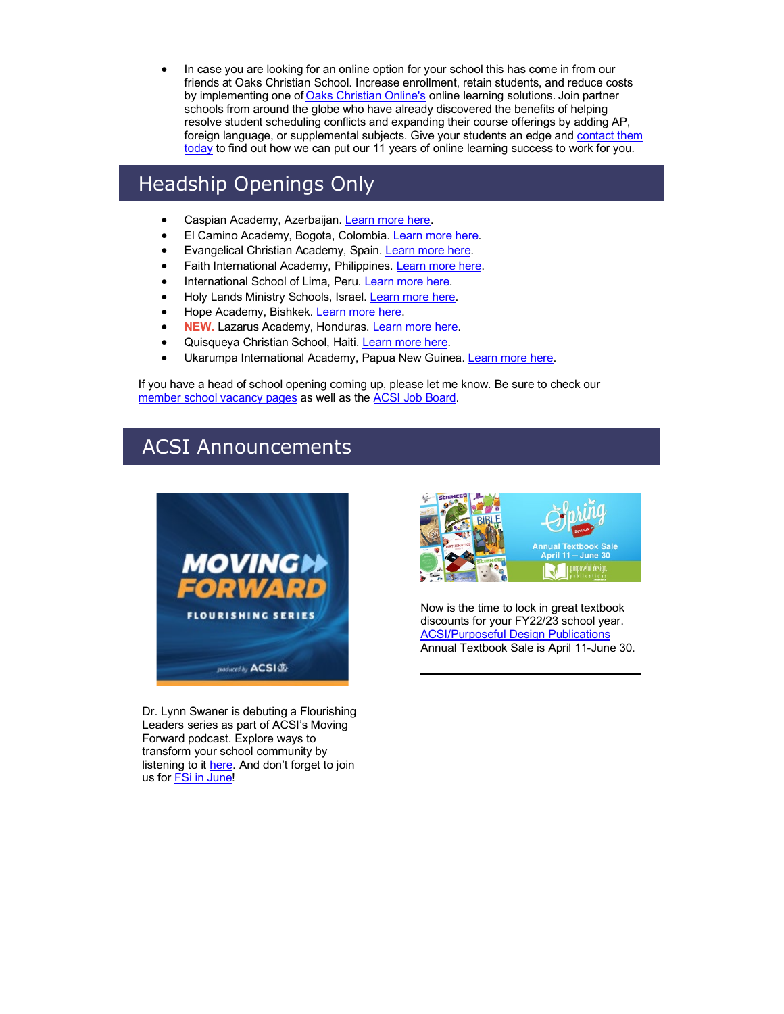In case you are looking for an online option for your school this has come in from our friends at Oaks Christian School. Increase enrollment, retain students, and reduce costs by implementing one of [Oaks Christian Online's](https://www.oakschristianonline.org/acsi/) online learning solutions. Join partner schools from around the globe who have already discovered the benefits of helping resolve student scheduling conflicts and expanding their course offerings by adding AP, foreign language, or supplemental subjects. Give your students an edge an[d contact them](https://www.oakschristianonline.org/acsi/)  [today](https://www.oakschristianonline.org/acsi/) to find out how we can put our 11 years of online learning success to work for you.

## Headship Openings Only

- Caspian Academy, Azerbaijan[. Learn more here.](https://www.globalschoolsearches.org/leadership-searches/head-of-school-caspian-academy-azerbaijan)
- El Camino Academy, Bogota, Colombia. [Learn more here.](https://www.globalschoolsearches.org/leadership-searches/general-director-bogota-colombia)
- Evangelical Christian Academy, Spain. [Learn more here.](https://new.ecaspain.com/the-director-of-the-evangelical-christian-academy/)
- Faith International Academy, Philippines[. Learn more here.](https://docs.google.com/document/d/1Y8JY4-_TngNXOefKwRo0cLQwowd7Q_VfuQORbNCxv3M/edit)
- International School of Lima, Peru[. Learn more here.](https://www.nics.org/career-opportunities/international-christian-school-lima/administrator-school-director-2/)
- Holy Lands Ministry Schools, Israel. [Learn more here.](https://www.globalschoolsearches.org/leadership-searches/executive-director-holy-land-ministries-schools-palestine)
- Hope Academy, Bishkek. [Learn more here.](https://www.globalschoolsearches.org/leadership-searches/director-bishkek-kyrgyz-republic)
- **NEW.** Lazarus Academy, Honduras. [Learn more here.](https://www.missionlazarus.org/careers/jobs/job-post-default/%7Eboard/job-postspuestos-de-carrera/post/head-of-school)
- Quisqueya Christian School, Haiti. [Learn more here.](https://www.globalschoolsearches.org/leadership-searches/head-of-school-port-au-prince-haiti)
- Ukarumpa International Academy, Papua New Guinea[. Learn more here.](https://ukarumpainternationalschool.org/serve-at-uis/)

If you have a head of school opening coming up, please let me know. Be sure to check our [member school vacancy pages](https://community.acsi.org/global/international/isj-vac) as well as th[e ACSI Job Board.](https://careers.acsi.org/)

### ACSI Announcements



Dr. Lynn Swaner is debuting a Flourishing Leaders series as part of ACSI's Moving Forward podcast. Explore ways to transform your school community by listening to i[t here.](https://blog.acsi.org/category/podcast) And don't forget to join us for [FSi in June!](https://www.acsi.org/flourishing-schools-institute)



Now is the time to lock in great textbook discounts for your FY22/23 school year. **[ACSI/Purposeful Design Publications](https://your.acsi.org/pdp-store/Textbook-Support/Preschool-Textbook-Support?maincat=TEXTBOOKSUPPORT&subcat=PRESCHOOL-TEXTBOOK-S)** Annual Textbook Sale is April 11-June 30.